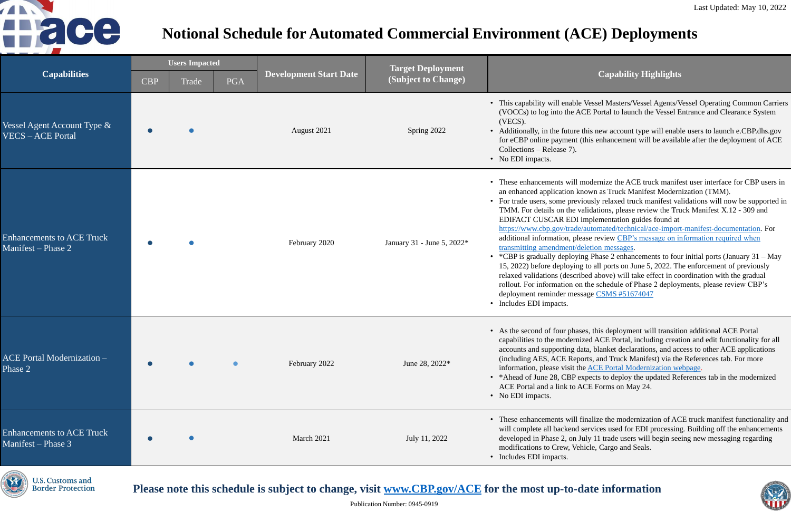Publication Number: 0945-0919

#### **(Subject to Change) Capability Highlights**

Vessel Masters/Vessel Agents/Vessel Operating Common Carriers CE Portal to launch the Vessel Entrance and Clearance System

this new account type will enable users to launch e.CBP.dhs.gov (this enhancement will be available after the deployment of ACE

- modernize the ACE truck manifest user interface for CBP users in nown as Truck Manifest Modernization (TMM).
- riously relaxed truck manifest validations will now be supported in validations, please review the Truck Manifest  $X.12$  - 309 and implementation guides found at
- /automated/technical/ace-import-manifest-documentation. For ase review CBP's message on information required when eletion messages.
- $\frac{E}{2}$  enhancements to four initial ports (January 31 May g to all ports on June 5, 2022. The enforcement of previously ibed above) will take effect in coordination with the gradual is the schedule of Phase 2 deployments, please review CBP's sage [CSMS #51674047](https://content.govdelivery.com/accounts/USDHSCBP/bulletins/3147bbf)

es, this deployment will transition additional ACE Portal ized ACE Portal, including creation and edit functionality for all ata, blanket declarations, and access to other ACE applications orts, and Truck Manifest) via the References tab. For more ie [ACE Portal Modernization webpage](https://www.cbp.gov/trade/automated/ace-portal-modernization).

xpects to deploy the updated References tab in the modernized  $\triangle$ CE Forms on May 24.

finalize the modernization of ACE truck manifest functionality and services used for EDI processing. Building off the enhancements July 11 trade users will begin seeing new messaging regarding hicle, Cargo and Seals.



| <b>Capabilities</b>                                        | <b>Users Impacted</b> |       |            |                               | <b>Target Deployment</b>   |                                                                                                                                                                                                                                                                                                                                                                                                                               |
|------------------------------------------------------------|-----------------------|-------|------------|-------------------------------|----------------------------|-------------------------------------------------------------------------------------------------------------------------------------------------------------------------------------------------------------------------------------------------------------------------------------------------------------------------------------------------------------------------------------------------------------------------------|
|                                                            | <b>CBP</b>            | Trade | <b>PGA</b> | <b>Development Start Date</b> | (Subject to Change)        |                                                                                                                                                                                                                                                                                                                                                                                                                               |
| Vessel Agent Account Type $\&$<br><b>VECS</b> - ACE Portal |                       |       |            | August 2021                   | Spring 2022                | • This capability will enable<br>(VOCCs) to log into the A<br>(VECS).<br>• Additionally, in the future<br>for eCBP online payment<br>Collections – Release 7).<br>• No EDI impacts.                                                                                                                                                                                                                                           |
| <b>Enhancements to ACE Truck</b><br>Manifest – Phase 2     |                       |       |            | February 2020                 | January 31 - June 5, 2022* | • These enhancements will a<br>an enhanced application ki<br>• For trade users, some prev<br>TMM. For details on the v<br><b>EDIFACT CUSCAR EDI</b><br>https://www.cbp.gov/trade<br>additional information, ple<br>transmitting amendment/d<br>• *CBP is gradually deployi<br>15, 2022) before deploying<br>relaxed validations (descri<br>rollout. For information or<br>deployment reminder mess<br>• Includes EDI impacts. |
| <b>ACE Portal Modernization -</b><br>Phase 2               |                       |       |            | February 2022                 | June 28, 2022*             | • As the second of four phas<br>capabilities to the moderni<br>accounts and supporting da<br>(including AES, ACE Rep<br>information, please visit th<br>• * Ahead of June 28, CBP e<br>ACE Portal and a link to A<br>• No EDI impacts.                                                                                                                                                                                        |
| <b>Enhancements to ACE Truck</b><br>Manifest – Phase 3     |                       |       |            | March 2021                    | July 11, 2022              | • These enhancements will t<br>will complete all backend<br>developed in Phase 2, on J<br>modifications to Crew, Vel<br>• Includes EDI impacts.                                                                                                                                                                                                                                                                               |

**U.S. Customs and Border Protection** 

Please note this schedule is subject to change, visit **[www.CBP.gov/ACE](http://www.cbp.gov/ACE)** for the most up-to-date information



# **Notional Schedule for Automated Commercial Environment (ACE) Deployments**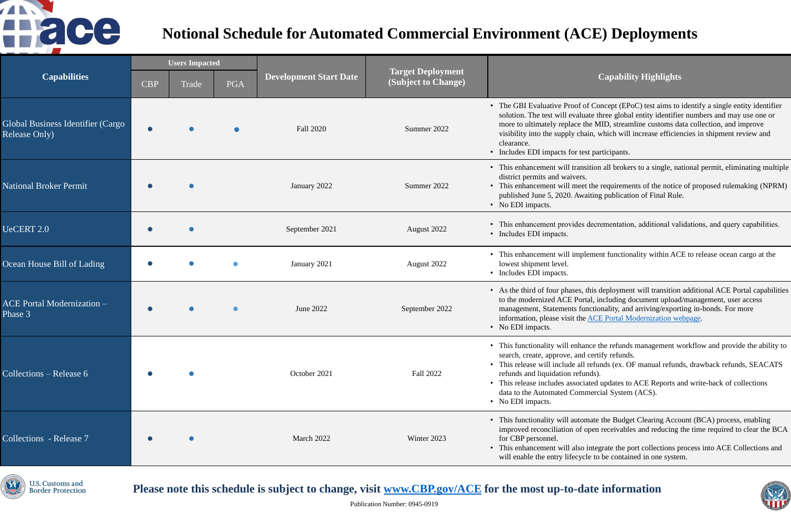## **(Subject to Change) Capability Highlights**

of Concept (EPoC) test aims to identify a single entity identifier luate three global entity identifier numbers and may use one or the MID, streamline customs data collection, and improve thain, which will increase efficiencies in shipment review and

test participants.

insition all brokers to a single, national permit, eliminating multiple

eet the requirements of the notice of proposed rulemaking (NPRM) waiting publication of Final Rule.

es decrementation, additional validations, and query capabilities.

plement functionality within ACE to release ocean cargo at the

s, this deployment will transition additional ACE Portal capabilities ortal, including document upload/management, user access functionality, and arriving/exporting in-bonds. For more he [ACE Portal Modernization webpage](https://www.cbp.gov/trade/automated/ace-portal-modernization).

hance the refunds management workflow and provide the ability to nd certify refunds.

all refunds (ex. OF manual refunds, drawback refunds, SEACATS funds).

ciated updates to ACE Reports and write-back of collections mmercial System (ACS).

formate the Budget Clearing Account (BCA) process, enabling f open receivables and reducing the time required to clear the BCA

so integrate the port collections process into ACE Collections and ycle to be contained in one system.



| <b>Capabilities</b>                                       | <b>Users Impacted</b> |       |            |                               |                                                 |                                                                                                                                                                                                                            |
|-----------------------------------------------------------|-----------------------|-------|------------|-------------------------------|-------------------------------------------------|----------------------------------------------------------------------------------------------------------------------------------------------------------------------------------------------------------------------------|
|                                                           | <b>CBP</b>            | Trade | <b>PGA</b> | <b>Development Start Date</b> | <b>Target Deployment</b><br>(Subject to Change) |                                                                                                                                                                                                                            |
| Global Business Identifier (Cargo<br><b>Release Only)</b> |                       |       |            | <b>Fall 2020</b>              | Summer 2022                                     | • The GBI Evaluative Proof o<br>solution. The test will evalua<br>more to ultimately replace tl<br>visibility into the supply cha<br>clearance.<br>• Includes EDI impacts for tes                                          |
| <b>National Broker Permit</b>                             |                       |       |            | January 2022                  | Summer 2022                                     | • This enhancement will trans<br>district permits and waivers.<br>• This enhancement will meet<br>published June 5, 2020. Awa<br>• No EDI impacts.                                                                         |
| UeCERT 2.0                                                |                       |       |            | September 2021                | August 2022                                     | • This enhancement provides<br>• Includes EDI impacts.                                                                                                                                                                     |
| Ocean House Bill of Lading                                |                       |       |            | January 2021                  | August 2022                                     | • This enhancement will impl<br>lowest shipment level.<br>• Includes EDI impacts.                                                                                                                                          |
| <b>ACE Portal Modernization -</b><br>Phase 3              |                       |       |            | June 2022                     | September 2022                                  | • As the third of four phases,<br>to the modernized ACE Port<br>management, Statements fui<br>information, please visit the<br>• No EDI impacts.                                                                           |
| Collections – Release 6                                   |                       |       |            | October 2021                  | Fall 2022                                       | This functionality will enhal<br>search, create, approve, and<br>• This release will include all<br>refunds and liquidation refu<br>• This release includes association<br>data to the Automated Comi<br>• No EDI impacts. |
| Collections - Release 7                                   |                       |       |            | March 2022                    | Winter 2023                                     | • This functionality will autor<br>improved reconciliation of o<br>for CBP personnel.<br>• This enhancement will also<br>will enable the entry lifecycl                                                                    |



**Border Protection** 

## Please note this schedule is subject to change, visit **[www.CBP.gov/ACE](http://www.cbp.gov/ACE)** for the most up-to-date information



# **Notional Schedule for Automated Commercial Environment (ACE) Deployments**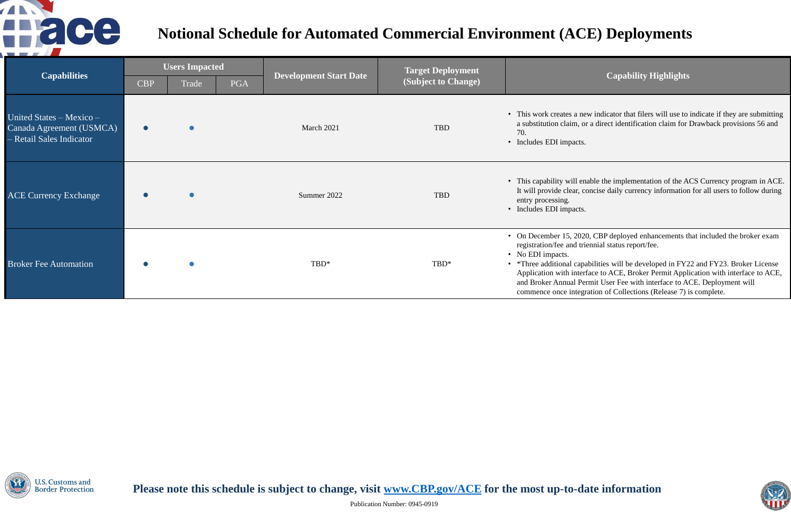### **(Subject to Change) Capability Highlights**

hew indicator that filers will use to indicate if they are submitting or a direct identification claim for Drawback provisions 56 and

enable the implementation of the ACS Currency program in ACE. concise daily currency information for all users to follow during

020, CBP deployed enhancements that included the broker exam riennial status report/fee.

pabilities will be developed in FY22 and FY23. Broker License erface to ACE, Broker Permit Application with interface to ACE, Permit User Fee with interface to ACE. Deployment will gration of Collections (Release 7) is complete.



| <b>Capabilities</b>                                                              | <b>Users Impacted</b> |       |            |                               | <b>Target Deployment</b> |                                                                                                                                                                              |
|----------------------------------------------------------------------------------|-----------------------|-------|------------|-------------------------------|--------------------------|------------------------------------------------------------------------------------------------------------------------------------------------------------------------------|
|                                                                                  | <b>CBP</b>            | Trade | <b>PGA</b> | <b>Development Start Date</b> | (Subject to Change)      |                                                                                                                                                                              |
| United States – Mexico –<br>Canada Agreement (USMCA)<br>- Retail Sales Indicator |                       |       |            | March 2021                    | TBD                      | • This work creates a ne<br>a substitution claim, o<br>70.<br>• Includes EDI impacts.                                                                                        |
| <b>ACE Currency Exchange</b>                                                     |                       |       |            | Summer 2022                   | TBD                      | • This capability will en<br>It will provide clear, c<br>entry processing.<br>• Includes EDI impacts.                                                                        |
| <b>Broker Fee Automation</b>                                                     |                       |       |            | TBD*                          | TBD*                     | • On December 15, 202<br>registration/fee and tri<br>• No EDI impacts.<br>• *Three additional capa<br>Application with inter<br>and Broker Annual Pe<br>commence once integr |



Please note this schedule is subject to change, visit **[www.CBP.gov/ACE](http://www.cbp.gov/ACE)** for the most up-to-date information



# **Notional Schedule for Automated Commercial Environment (ACE) Deployments**